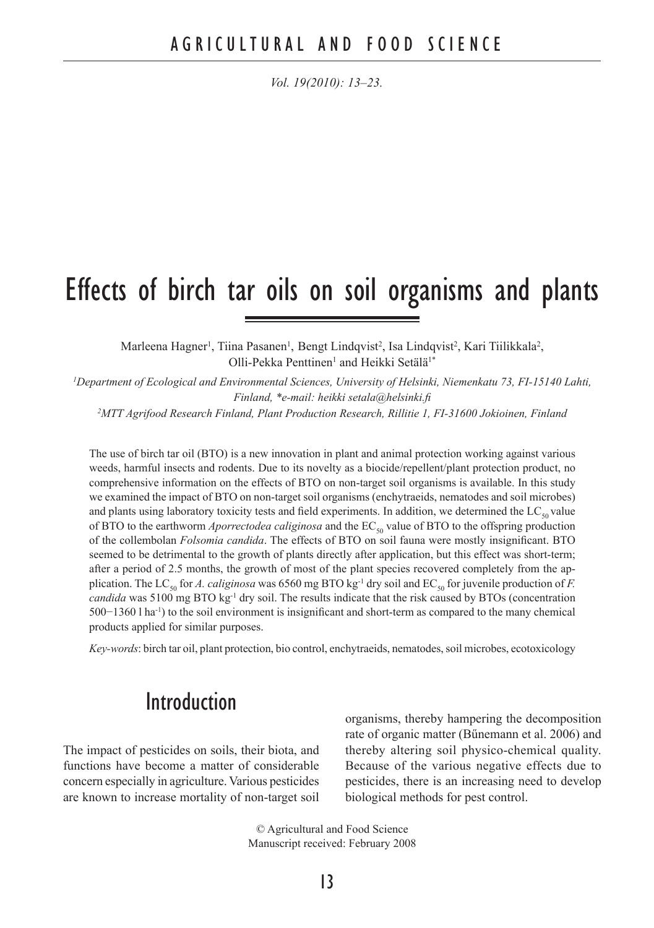# Effects of birch tar oils on soil organisms and plants

Marleena Hagner<sup>1</sup>, Tiina Pasanen<sup>1</sup>, Bengt Lindqvist<sup>2</sup>, Isa Lindqvist<sup>2</sup>, Kari Tiilikkala<sup>2</sup>, Olli-Pekka Penttinen<sup>1</sup> and Heikki Setälä<sup>1\*</sup>

*1 Department of Ecological and Environmental Sciences, University of Helsinki, Niemenkatu 73, FI-15140 Lahti, Finland, \*e-mail: heikki setala@helsinki.fi*

*2 MTT Agrifood Research Finland, Plant Production Research, Rillitie 1, FI-31600 Jokioinen, Finland*

The use of birch tar oil (BTO) is a new innovation in plant and animal protection working against various weeds, harmful insects and rodents. Due to its novelty as a biocide/repellent/plant protection product, no comprehensive information on the effects of BTO on non-target soil organisms is available. In this study we examined the impact of BTO on non-target soil organisms (enchytraeids, nematodes and soil microbes) and plants using laboratory toxicity tests and field experiments. In addition, we determined the  $LC_{50}$  value of BTO to the earthworm *Aporrectodea caliginosa* and the EC<sub>50</sub> value of BTO to the offspring production of the collembolan *Folsomia candida*. The effects of BTO on soil fauna were mostly insignificant. BTO seemed to be detrimental to the growth of plants directly after application, but this effect was short-term; after a period of 2.5 months, the growth of most of the plant species recovered completely from the application. The LC<sub>50</sub> for *A. caliginosa* was 6560 mg BTO kg<sup>-1</sup> dry soil and EC<sub>50</sub> for juvenile production of *F*. *candida* was 5100 mg BTO kg<sup>-1</sup> dry soil. The results indicate that the risk caused by BTOs (concentration 500−1360 l ha-1) to the soil environment is insignificant and short-term as compared to the many chemical products applied for similar purposes.

*Key-words*: birch tar oil, plant protection, bio control, enchytraeids, nematodes, soil microbes, ecotoxicology

### Introduction

The impact of pesticides on soils, their biota, and functions have become a matter of considerable concern especially in agriculture. Various pesticides are known to increase mortality of non-target soil organisms, thereby hampering the decomposition rate of organic matter (Bűnemann et al. 2006) and thereby altering soil physico-chemical quality. Because of the various negative effects due to pesticides, there is an increasing need to develop biological methods for pest control.

© Agricultural and Food Science Manuscript received: February 2008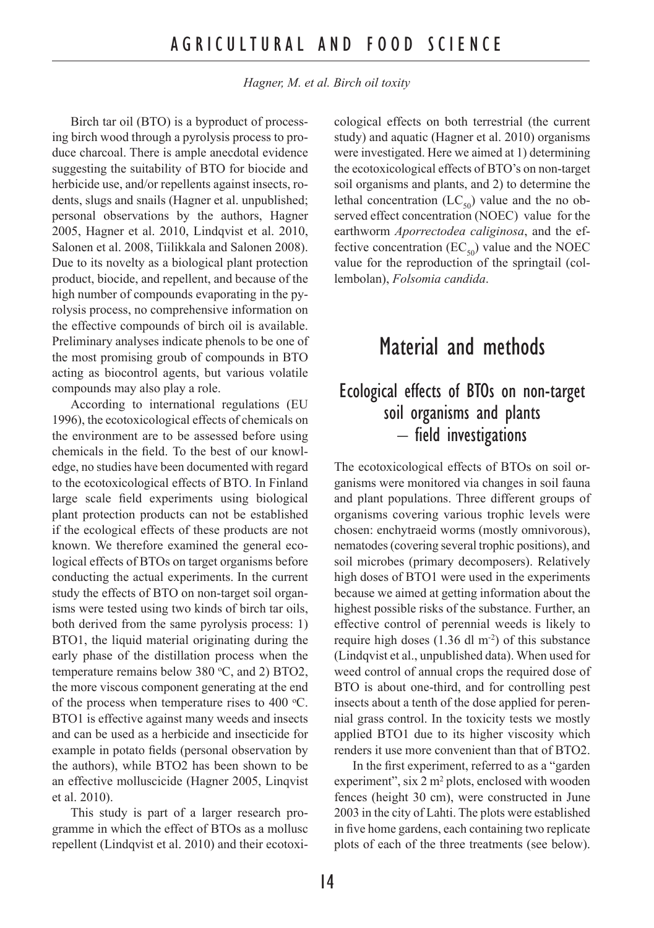Birch tar oil (BTO) is a byproduct of processing birch wood through a pyrolysis process to produce charcoal. There is ample anecdotal evidence suggesting the suitability of BTO for biocide and herbicide use, and/or repellents against insects, rodents, slugs and snails (Hagner et al. unpublished; personal observations by the authors, Hagner 2005, Hagner et al. 2010, Lindqvist et al. 2010, Salonen et al. 2008, Tiilikkala and Salonen 2008). Due to its novelty as a biological plant protection product, biocide, and repellent, and because of the high number of compounds evaporating in the pyrolysis process, no comprehensive information on the effective compounds of birch oil is available. Preliminary analyses indicate phenols to be one of the most promising groub of compounds in BTO acting as biocontrol agents, but various volatile compounds may also play a role.

According to international regulations (EU 1996), the ecotoxicological effects of chemicals on the environment are to be assessed before using chemicals in the field. To the best of our knowledge, no studies have been documented with regard to the ecotoxicological effects of BTO. In Finland large scale field experiments using biological plant protection products can not be established if the ecological effects of these products are not known. We therefore examined the general ecological effects of BTOs on target organisms before conducting the actual experiments. In the current study the effects of BTO on non-target soil organisms were tested using two kinds of birch tar oils, both derived from the same pyrolysis process: 1) BTO1, the liquid material originating during the early phase of the distillation process when the temperature remains below 380  $°C$ , and 2) BTO2, the more viscous component generating at the end of the process when temperature rises to 400  $\,^{\circ}$ C. BTO1 is effective against many weeds and insects and can be used as a herbicide and insecticide for example in potato fields (personal observation by the authors), while BTO2 has been shown to be an effective molluscicide (Hagner 2005, Linqvist et al. 2010).

This study is part of a larger research programme in which the effect of BTOs as a mollusc repellent (Lindqvist et al. 2010) and their ecotoxicological effects on both terrestrial (the current study) and aquatic (Hagner et al. 2010) organisms were investigated. Here we aimed at 1) determining the ecotoxicological effects of BTO's on non-target soil organisms and plants, and 2) to determine the lethal concentration  $(LC_{50})$  value and the no observed effect concentration (NOEC) value for the earthworm *Aporrectodea caliginosa*, and the effective concentration ( $EC_{50}$ ) value and the NOEC value for the reproduction of the springtail (collembolan), *Folsomia candida*.

### Material and methods

### Ecological effects of BTOs on non-target soil organisms and plants – field investigations

The ecotoxicological effects of BTOs on soil organisms were monitored via changes in soil fauna and plant populations. Three different groups of organisms covering various trophic levels were chosen: enchytraeid worms (mostly omnivorous), nematodes (covering several trophic positions), and soil microbes (primary decomposers). Relatively high doses of BTO1 were used in the experiments because we aimed at getting information about the highest possible risks of the substance. Further, an effective control of perennial weeds is likely to require high doses  $(1.36$  dl m<sup>-2</sup>) of this substance (Lindqvist et al., unpublished data). When used for weed control of annual crops the required dose of BTO is about one-third, and for controlling pest insects about a tenth of the dose applied for perennial grass control. In the toxicity tests we mostly applied BTO1 due to its higher viscosity which renders it use more convenient than that of BTO2.

In the first experiment, referred to as a "garden experiment",  $\sin 2$  m<sup>2</sup> plots, enclosed with wooden fences (height 30 cm), were constructed in June 2003 in the city of Lahti. The plots were established in five home gardens, each containing two replicate plots of each of the three treatments (see below).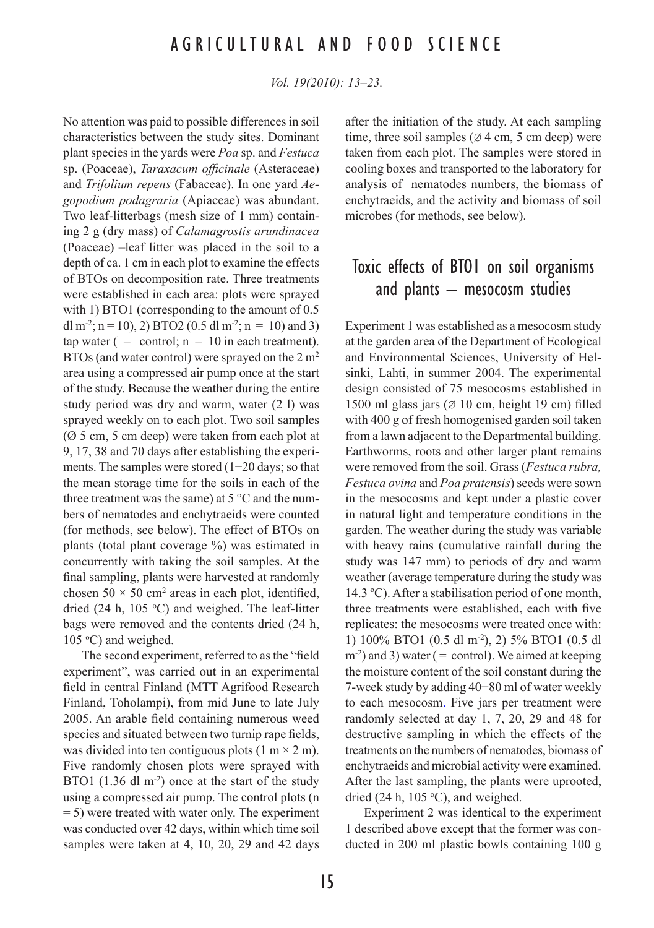No attention was paid to possible differences in soil characteristics between the study sites. Dominant plant species in the yards were *Poa* sp. and *Festuca*  sp. (Poaceae), *Taraxacum officinale* (Asteraceae) and *Trifolium repens* (Fabaceae). In one yard *Aegopodium podagraria* (Apiaceae) was abundant. Two leaf-litterbags (mesh size of 1 mm) containing 2 g (dry mass) of *Calamagrostis arundinacea*  (Poaceae) *–*leaf litter was placed in the soil to a depth of ca. 1 cm in each plot to examine the effects of BTOs on decomposition rate. Three treatments were established in each area: plots were sprayed with 1) BTO1 (corresponding to the amount of 0.5 dl m<sup>-2</sup>; n = 10), 2) BTO2 (0.5 dl m<sup>-2</sup>; n = 10) and 3) tap water  $( =$  control;  $n = 10$  in each treatment). BTOs (and water control) were sprayed on the  $2 m<sup>2</sup>$ area using a compressed air pump once at the start of the study. Because the weather during the entire study period was dry and warm, water (2 l) was sprayed weekly on to each plot. Two soil samples (Ø 5 cm, 5 cm deep) were taken from each plot at 9, 17, 38 and 70 days after establishing the experiments. The samples were stored (1−20 days; so that the mean storage time for the soils in each of the three treatment was the same) at  $5^{\circ}$ C and the numbers of nematodes and enchytraeids were counted (for methods, see below). The effect of BTOs on plants (total plant coverage %) was estimated in concurrently with taking the soil samples. At the final sampling, plants were harvested at randomly chosen  $50 \times 50$  cm<sup>2</sup> areas in each plot, identified, dried (24 h, 105  $\degree$ C) and weighed. The leaf-litter bags were removed and the contents dried (24 h, 105 °C) and weighed.

The second experiment, referred to as the "field experiment", was carried out in an experimental field in central Finland (MTT Agrifood Research Finland, Toholampi), from mid June to late July 2005. An arable field containing numerous weed species and situated between two turnip rape fields, was divided into ten contiguous plots  $(1 \text{ m} \times 2 \text{ m})$ . Five randomly chosen plots were sprayed with BTO1 (1.36 dl m<sup>-2</sup>) once at the start of the study using a compressed air pump. The control plots (n = 5) were treated with water only. The experiment was conducted over 42 days, within which time soil samples were taken at 4, 10, 20, 29 and 42 days after the initiation of the study. At each sampling time, three soil samples ( $\varnothing$  4 cm, 5 cm deep) were taken from each plot. The samples were stored in cooling boxes and transported to the laboratory for analysis of nematodes numbers, the biomass of enchytraeids, and the activity and biomass of soil microbes (for methods, see below).

#### Toxic effects of BTO1 on soil organisms and plants – mesocosm studies

Experiment 1 was established as a mesocosm study at the garden area of the Department of Ecological and Environmental Sciences, University of Helsinki, Lahti, in summer 2004. The experimental design consisted of 75 mesocosms established in 1500 ml glass jars (Ø 10 cm, height 19 cm) filled with 400 g of fresh homogenised garden soil taken from a lawn adjacent to the Departmental building. Earthworms, roots and other larger plant remains were removed from the soil. Grass (*Festuca rubra, Festuca ovina* and *Poa pratensis*) seeds were sown in the mesocosms and kept under a plastic cover in natural light and temperature conditions in the garden. The weather during the study was variable with heavy rains (cumulative rainfall during the study was 147 mm) to periods of dry and warm weather (average temperature during the study was 14.3 ºC). After a stabilisation period of one month, three treatments were established, each with five replicates: the mesocosms were treated once with: 1) 100% BTO1 (0.5 dl m-2), 2) 5% BTO1 (0.5 dl  $(m<sup>-2</sup>)$  and 3) water ( = control). We aimed at keeping the moisture content of the soil constant during the 7-week study by adding 40−80 ml of water weekly to each mesocosm. Five jars per treatment were randomly selected at day 1, 7, 20, 29 and 48 for destructive sampling in which the effects of the treatments on the numbers of nematodes, biomass of enchytraeids and microbial activity were examined. After the last sampling, the plants were uprooted, dried  $(24 h, 105 °C)$ , and weighed.

Experiment 2 was identical to the experiment 1 described above except that the former was conducted in 200 ml plastic bowls containing 100 g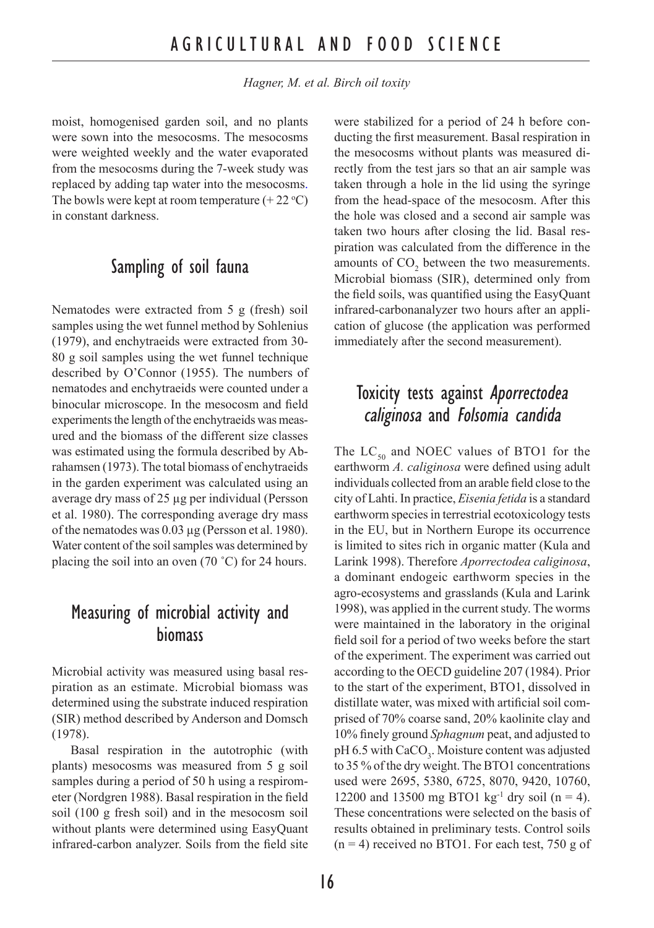moist, homogenised garden soil, and no plants were sown into the mesocosms. The mesocosms were weighted weekly and the water evaporated from the mesocosms during the 7-week study was replaced by adding tap water into the mesocosms. The bowls were kept at room temperature  $(+ 22 \degree C)$ in constant darkness.

#### Sampling of soil fauna

Nematodes were extracted from 5 g (fresh) soil samples using the wet funnel method by Sohlenius (1979), and enchytraeids were extracted from 30- 80 g soil samples using the wet funnel technique described by O'Connor (1955). The numbers of nematodes and enchytraeids were counted under a binocular microscope. In the mesocosm and field experiments the length of the enchytraeids was measured and the biomass of the different size classes was estimated using the formula described by Abrahamsen (1973). The total biomass of enchytraeids in the garden experiment was calculated using an average dry mass of 25 µg per individual (Persson et al. 1980). The corresponding average dry mass of the nematodes was 0.03 µg (Persson et al. 1980). Water content of the soil samples was determined by placing the soil into an oven (70 ˚C) for 24 hours.

### Measuring of microbial activity and biomass

Microbial activity was measured using basal respiration as an estimate. Microbial biomass was determined using the substrate induced respiration (SIR) method described by Anderson and Domsch (1978).

Basal respiration in the autotrophic (with plants) mesocosms was measured from 5 g soil samples during a period of 50 h using a respirometer (Nordgren 1988). Basal respiration in the field soil (100 g fresh soil) and in the mesocosm soil without plants were determined using EasyQuant infrared-carbon analyzer. Soils from the field site were stabilized for a period of 24 h before conducting the first measurement. Basal respiration in the mesocosms without plants was measured directly from the test jars so that an air sample was taken through a hole in the lid using the syringe from the head-space of the mesocosm. After this the hole was closed and a second air sample was taken two hours after closing the lid. Basal respiration was calculated from the difference in the amounts of  $CO<sub>2</sub>$  between the two measurements. Microbial biomass (SIR), determined only from the field soils, was quantified using the EasyQuant infrared-carbonanalyzer two hours after an application of glucose (the application was performed immediately after the second measurement).

### Toxicity tests against Aporrectodea caliginosa and Folsomia candida

The  $LC_{50}$  and NOEC values of BTO1 for the earthworm *A. caliginosa* were defined using adult individuals collected from an arable field close to the city of Lahti. In practice, *Eisenia fetida* is a standard earthworm species in terrestrial ecotoxicology tests in the EU, but in Northern Europe its occurrence is limited to sites rich in organic matter (Kula and Larink 1998). Therefore *Aporrectodea caliginosa*, a dominant endogeic earthworm species in the agro-ecosystems and grasslands (Kula and Larink 1998), was applied in the current study. The worms were maintained in the laboratory in the original field soil for a period of two weeks before the start of the experiment. The experiment was carried out according to the OECD guideline 207 (1984). Prior to the start of the experiment, BTO1, dissolved in distillate water, was mixed with artificial soil comprised of 70% coarse sand, 20% kaolinite clay and 10% finely ground *Sphagnum* peat, and adjusted to  $pH$  6.5 with  $CaCO<sub>3</sub>$ . Moisture content was adjusted to 35 % of the dry weight. The BTO1 concentrations used were 2695, 5380, 6725, 8070, 9420, 10760, 12200 and 13500 mg BTO1 kg<sup>-1</sup> dry soil (n = 4). These concentrations were selected on the basis of results obtained in preliminary tests. Control soils  $(n = 4)$  received no BTO1. For each test, 750 g of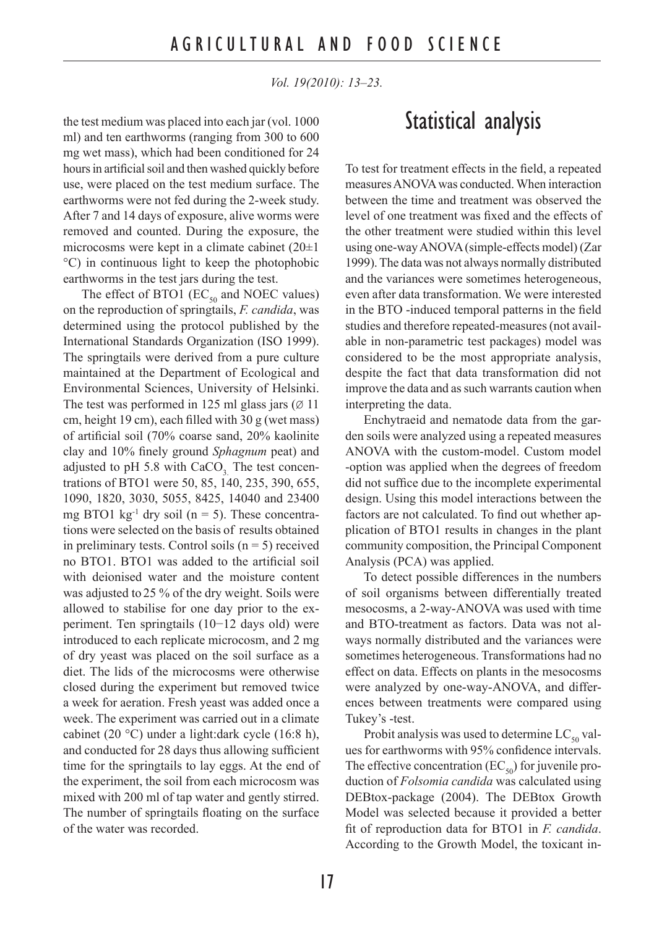the test medium was placed into each jar (vol. 1000 ml) and ten earthworms (ranging from 300 to 600 mg wet mass), which had been conditioned for 24 hours in artificial soil and then washed quickly before use, were placed on the test medium surface. The earthworms were not fed during the 2-week study. After 7 and 14 days of exposure, alive worms were removed and counted. During the exposure, the microcosms were kept in a climate cabinet  $(20\pm 1)$ °C) in continuous light to keep the photophobic earthworms in the test jars during the test.

The effect of BTO1 ( $EC_{50}$  and NOEC values) on the reproduction of springtails, *F. candida*, was determined using the protocol published by the International Standards Organization (ISO 1999). The springtails were derived from a pure culture maintained at the Department of Ecological and Environmental Sciences, University of Helsinki. The test was performed in 125 ml glass jars  $(Ø 11)$ cm, height 19 cm), each filled with 30 g (wet mass) of artificial soil (70% coarse sand, 20% kaolinite clay and 10% finely ground *Sphagnum* peat) and adjusted to pH  $5.8$  with CaCO<sub>3</sub>. The test concentrations of BTO1 were 50, 85, 140, 235, 390, 655, 1090, 1820, 3030, 5055, 8425, 14040 and 23400 mg BTO1 kg<sup>-1</sup> dry soil ( $n = 5$ ). These concentrations were selected on the basis of results obtained in preliminary tests. Control soils  $(n = 5)$  received no BTO1. BTO1 was added to the artificial soil with deionised water and the moisture content was adjusted to 25 % of the dry weight. Soils were allowed to stabilise for one day prior to the experiment. Ten springtails (10−12 days old) were introduced to each replicate microcosm, and 2 mg of dry yeast was placed on the soil surface as a diet. The lids of the microcosms were otherwise closed during the experiment but removed twice a week for aeration. Fresh yeast was added once a week. The experiment was carried out in a climate cabinet (20 °C) under a light:dark cycle (16:8 h), and conducted for 28 days thus allowing sufficient time for the springtails to lay eggs. At the end of the experiment, the soil from each microcosm was mixed with 200 ml of tap water and gently stirred. The number of springtails floating on the surface of the water was recorded.

# Statistical analysis

To test for treatment effects in the field, a repeated measures ANOVA was conducted. When interaction between the time and treatment was observed the level of one treatment was fixed and the effects of the other treatment were studied within this level using one-way ANOVA (simple-effects model) (Zar 1999). The data was not always normally distributed and the variances were sometimes heterogeneous, even after data transformation. We were interested in the BTO -induced temporal patterns in the field studies and therefore repeated-measures (not available in non-parametric test packages) model was considered to be the most appropriate analysis, despite the fact that data transformation did not improve the data and as such warrants caution when interpreting the data.

Enchytraeid and nematode data from the garden soils were analyzed using a repeated measures ANOVA with the custom-model. Custom model -option was applied when the degrees of freedom did not suffice due to the incomplete experimental design. Using this model interactions between the factors are not calculated. To find out whether application of BTO1 results in changes in the plant community composition, the Principal Component Analysis (PCA) was applied.

To detect possible differences in the numbers of soil organisms between differentially treated mesocosms, a 2-way-ANOVA was used with time and BTO-treatment as factors. Data was not always normally distributed and the variances were sometimes heterogeneous. Transformations had no effect on data. Effects on plants in the mesocosms were analyzed by one-way-ANOVA, and differences between treatments were compared using Tukey's -test.

Probit analysis was used to determine  $LC_{50}$  values for earthworms with 95% confidence intervals. The effective concentration  $(EC_{50})$  for juvenile production of *Folsomia candida* was calculated using DEBtox-package (2004). The DEBtox Growth Model was selected because it provided a better fit of reproduction data for BTO1 in *F. candida*. According to the Growth Model, the toxicant in-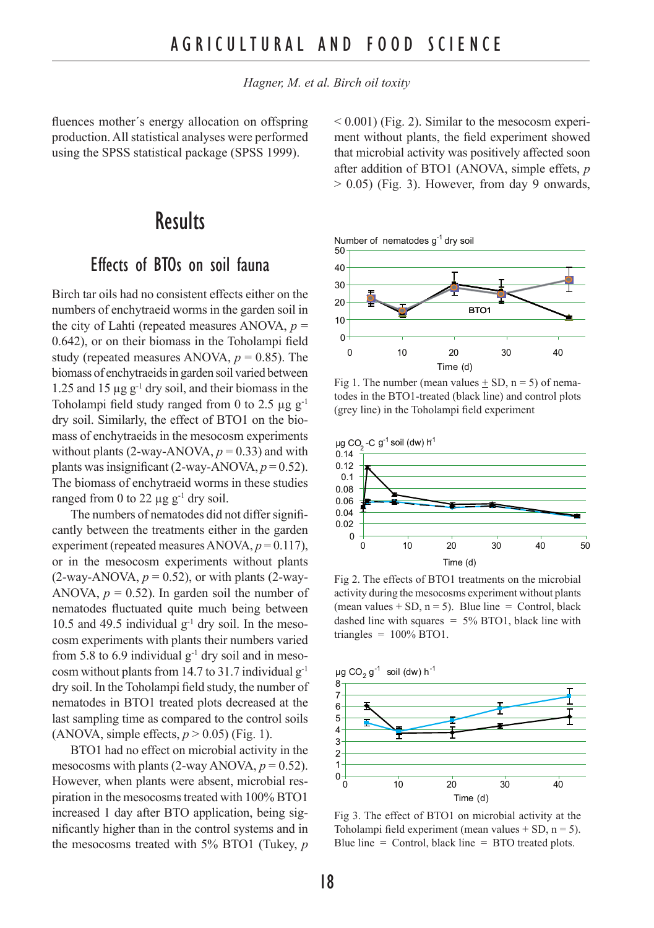fluences mother´s energy allocation on offspring production. All statistical analyses were performed using the SPSS statistical package (SPSS 1999).

### **Results**

#### Effects of BTOs on soil fauna

Birch tar oils had no consistent effects either on the numbers of enchytraeid worms in the garden soil in the city of Lahti (repeated measures ANOVA,  $p =$ 0.642), or on their biomass in the Toholampi field study (repeated measures ANOVA,  $p = 0.85$ ). The biomass of enchytraeids in garden soil varied between 1.25 and 15  $\mu$ g g<sup>-1</sup> dry soil, and their biomass in the Toholampi field study ranged from 0 to 2.5  $\mu$ g g<sup>-1</sup> dry soil. Similarly, the effect of BTO1 on the biomass of enchytraeids in the mesocosm experiments without plants (2-way-ANOVA,  $p = 0.33$ ) and with plants was insignificant (2-way-ANOVA,  $p = 0.52$ ). The biomass of enchytraeid worms in these studies ranged from 0 to 22  $\mu$ g g<sup>-1</sup> dry soil.

The numbers of nematodes did not differ significantly between the treatments either in the garden experiment (repeated measures ANOVA,  $p = 0.117$ ), or in the mesocosm experiments without plants  $(2$ -way-ANOVA,  $p = 0.52$ ), or with plants  $(2$ -way-ANOVA,  $p = 0.52$ ). In garden soil the number of nematodes fluctuated quite much being between 10.5 and 49.5 individual  $g^{-1}$  dry soil. In the mesocosm experiments with plants their numbers varied from 5.8 to 6.9 individual  $g^{-1}$  dry soil and in mesocosm without plants from 14.7 to 31.7 individual g-1 dry soil. In the Toholampi field study, the number of nematodes in BTO1 treated plots decreased at the last sampling time as compared to the control soils (ANOVA, simple effects,  $p > 0.05$ ) (Fig. 1).

BTO1 had no effect on microbial activity in the mesocosms with plants  $(2$ -way ANOVA,  $p = 0.52$ ). However, when plants were absent, microbial respiration in the mesocosms treated with 100% BTO1 increased 1 day after BTO application, being significantly higher than in the control systems and in the mesocosms treated with 5% BTO1 (Tukey, *p*  $< 0.001$ ) (Fig. 2). Similar to the mesocosm experiment without plants, the field experiment showed that microbial activity was positively affected soon after addition of BTO1 (ANOVA, simple effets, *p*  $> 0.05$ ) (Fig. 3). However, from day 9 onwards,





Fig 1. The number (mean values  $\pm$  SD, n = 5) of nematodes in the BTO1-treated (black line) and control plots (grey line) in the Toholampi field experiment



Fig 2. The effects of BTO1 treatments on the microbial activity during the mesocosms experiment without plants (mean values  $+$  SD, n = 5). Blue line = Control, black dashed line with squares  $= 5\%$  BTO1, black line with triangles =  $100\%$  BTO1.



Fig 3. The effect of BTO1 on microbial activity at the Toholampi field experiment (mean values  $+$  SD,  $n = 5$ ). Blue line  $=$  Control, black line  $=$  BTO treated plots.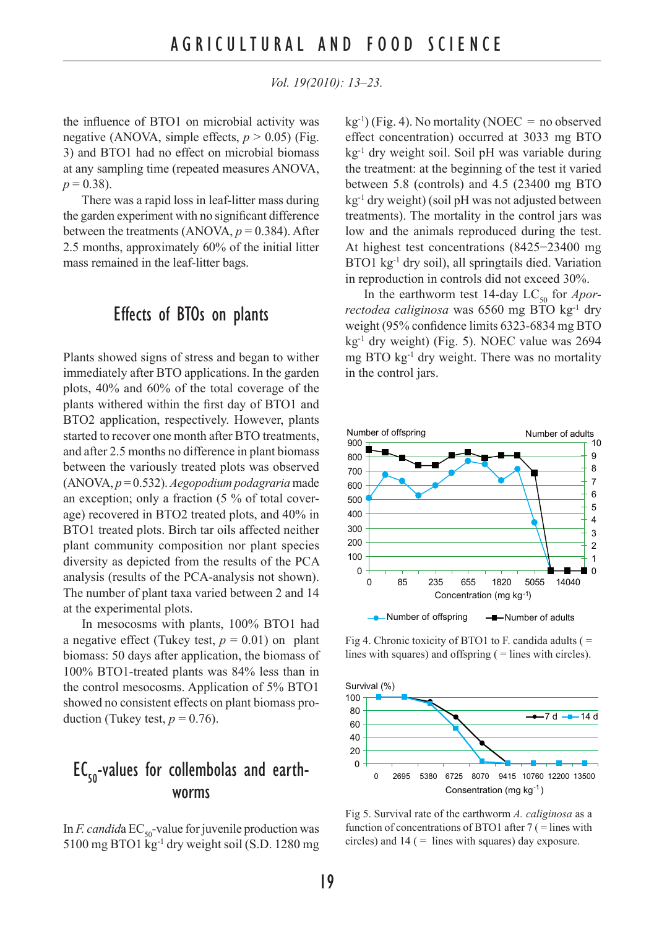the influence of BTO1 on microbial activity was negative (ANOVA, simple effects,  $p > 0.05$ ) (Fig. 3) and BTO1 had no effect on microbial biomass at any sampling time (repeated measures ANOVA,  $p = 0.38$ ).

There was a rapid loss in leaf-litter mass during the garden experiment with no significant difference between the treatments (ANOVA,  $p = 0.384$ ). After 2.5 months, approximately 60% of the initial litter mass remained in the leaf-litter bags.

#### Effects of BTOs on plants

Plants showed signs of stress and began to wither immediately after BTO applications. In the garden plots, 40% and 60% of the total coverage of the plants withered within the first day of BTO1 and BTO2 application, respectively. However, plants started to recover one month after BTO treatments, and after 2.5 months no difference in plant biomass between the variously treated plots was observed (ANOVA, *p* = 0.532). *Aegopodium podagraria* made an exception; only a fraction (5 % of total coverage) recovered in BTO2 treated plots, and 40% in BTO1 treated plots. Birch tar oils affected neither plant community composition nor plant species diversity as depicted from the results of the PCA analysis (results of the PCA-analysis not shown). The number of plant taxa varied between 2 and 14 at the experimental plots.

In mesocosms with plants, 100% BTO1 had a negative effect (Tukey test,  $p = 0.01$ ) on plant biomass: 50 days after application, the biomass of 100% BTO1-treated plants was 84% less than in the control mesocosms. Application of 5% BTO1 showed no consistent effects on plant biomass production (Tukey test,  $p = 0.76$ ).

### $EC_{50}$ -values for collembolas and earthworms

In *F. candida*  $EC_{50}$ -value for juvenile production was 5100 mg BTO1 kg-1 dry weight soil (S.D. 1280 mg  $kg^{-1}$ ) (Fig. 4). No mortality (NOEC = no observed effect concentration) occurred at 3033 mg BTO kg-1 dry weight soil. Soil pH was variable during the treatment: at the beginning of the test it varied between 5.8 (controls) and 4.5 (23400 mg BTO  $kg^{-1}$  dry weight) (soil pH was not adjusted between treatments). The mortality in the control jars was low and the animals reproduced during the test. At highest test concentrations (8425−23400 mg BTO1 kg-1 dry soil), all springtails died. Variation in reproduction in controls did not exceed 30%.

In the earthworm test 14-day  $LC_{50}$  for *Aporrectodea caliginosa* was 6560 mg BTO kg-1 dry weight (95% confidence limits 6323-6834 mg BTO kg-1 dry weight) (Fig. 5). NOEC value was 2694 mg BTO kg-1 dry weight. There was no mortality in the control jars.



Fig 4. Chronic toxicity of BTO1 to F. candida adults ( $=$ lines with squares) and offspring ( = lines with circles).



Fig 5. Survival rate of the earthworm *A. caliginosa* as a function of concentrations of BTO1 after  $7$  ( $=$  lines with circles) and  $14$  ( = lines with squares) day exposure.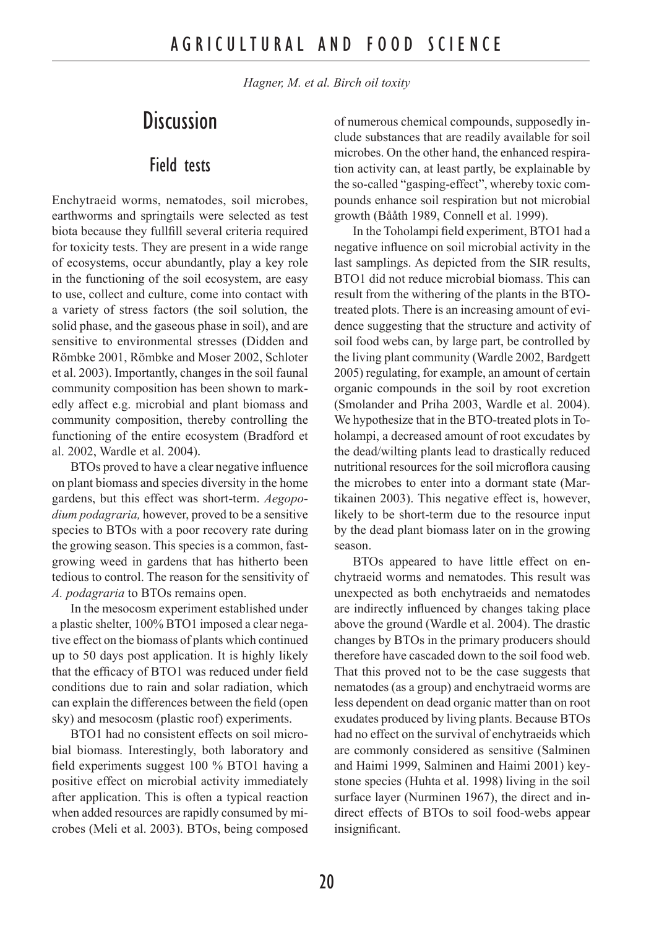# **Discussion**

#### Field tests

Enchytraeid worms, nematodes, soil microbes, earthworms and springtails were selected as test biota because they fullfill several criteria required for toxicity tests. They are present in a wide range of ecosystems, occur abundantly, play a key role in the functioning of the soil ecosystem, are easy to use, collect and culture, come into contact with a variety of stress factors (the soil solution, the solid phase, and the gaseous phase in soil), and are sensitive to environmental stresses (Didden and Römbke 2001, Römbke and Moser 2002, Schloter et al. 2003). Importantly, changes in the soil faunal community composition has been shown to markedly affect e.g. microbial and plant biomass and community composition, thereby controlling the functioning of the entire ecosystem (Bradford et al. 2002, Wardle et al. 2004).

BTOs proved to have a clear negative influence on plant biomass and species diversity in the home gardens, but this effect was short-term. *Aegopodium podagraria,* however, proved to be a sensitive species to BTOs with a poor recovery rate during the growing season. This species is a common, fastgrowing weed in gardens that has hitherto been tedious to control. The reason for the sensitivity of *A. podagraria* to BTOs remains open.

In the mesocosm experiment established under a plastic shelter, 100% BTO1 imposed a clear negative effect on the biomass of plants which continued up to 50 days post application. It is highly likely that the efficacy of BTO1 was reduced under field conditions due to rain and solar radiation, which can explain the differences between the field (open sky) and mesocosm (plastic roof) experiments.

BTO1 had no consistent effects on soil microbial biomass. Interestingly, both laboratory and field experiments suggest 100 % BTO1 having a positive effect on microbial activity immediately after application. This is often a typical reaction when added resources are rapidly consumed by microbes (Meli et al. 2003). BTOs, being composed of numerous chemical compounds, supposedly include substances that are readily available for soil microbes. On the other hand, the enhanced respiration activity can, at least partly, be explainable by the so-called "gasping-effect", whereby toxic compounds enhance soil respiration but not microbial growth (Bååth 1989, Connell et al. 1999).

In the Toholampi field experiment, BTO1 had a negative influence on soil microbial activity in the last samplings. As depicted from the SIR results, BTO1 did not reduce microbial biomass. This can result from the withering of the plants in the BTOtreated plots. There is an increasing amount of evidence suggesting that the structure and activity of soil food webs can, by large part, be controlled by the living plant community (Wardle 2002, Bardgett 2005) regulating, for example, an amount of certain organic compounds in the soil by root excretion (Smolander and Priha 2003, Wardle et al. 2004). We hypothesize that in the BTO-treated plots in Toholampi, a decreased amount of root excudates by the dead/wilting plants lead to drastically reduced nutritional resources for the soil microflora causing the microbes to enter into a dormant state (Martikainen 2003). This negative effect is, however, likely to be short-term due to the resource input by the dead plant biomass later on in the growing season.

BTOs appeared to have little effect on enchytraeid worms and nematodes. This result was unexpected as both enchytraeids and nematodes are indirectly influenced by changes taking place above the ground (Wardle et al. 2004). The drastic changes by BTOs in the primary producers should therefore have cascaded down to the soil food web. That this proved not to be the case suggests that nematodes (as a group) and enchytraeid worms are less dependent on dead organic matter than on root exudates produced by living plants. Because BTOs had no effect on the survival of enchytraeids which are commonly considered as sensitive (Salminen and Haimi 1999, Salminen and Haimi 2001) keystone species (Huhta et al. 1998) living in the soil surface layer (Nurminen 1967), the direct and indirect effects of BTOs to soil food-webs appear insignificant.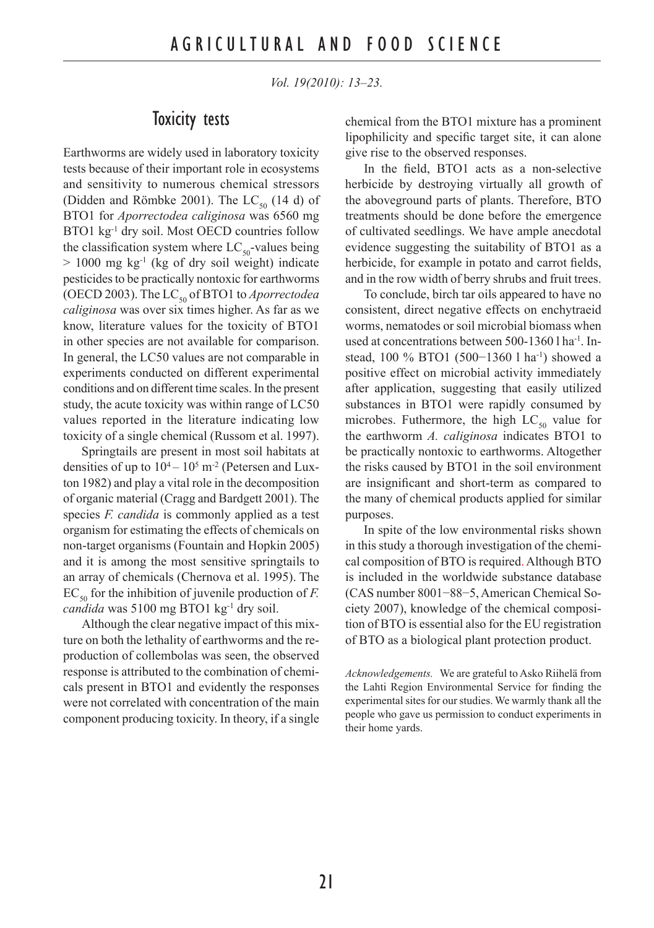#### Toxicity tests

Earthworms are widely used in laboratory toxicity tests because of their important role in ecosystems and sensitivity to numerous chemical stressors (Didden and Römbke 2001). The  $LC_{50}$  (14 d) of BTO1 for *Aporrectodea caliginosa* was 6560 mg BTO1 kg-1 dry soil. Most OECD countries follow the classification system where  $LC_{50}$ -values being  $> 1000$  mg kg<sup>-1</sup> (kg of dry soil weight) indicate pesticides to be practically nontoxic for earthworms (OECD 2003). The LC<sub>50</sub> of BTO1 to *Aporrectodea caliginosa* was over six times higher. As far as we know, literature values for the toxicity of BTO1 in other species are not available for comparison. In general, the LC50 values are not comparable in experiments conducted on different experimental conditions and on different time scales. In the present study, the acute toxicity was within range of LC50 values reported in the literature indicating low toxicity of a single chemical (Russom et al. 1997).

Springtails are present in most soil habitats at densities of up to  $10^4 - 10^5$  m<sup>-2</sup> (Petersen and Luxton 1982) and play a vital role in the decomposition of organic material (Cragg and Bardgett 2001). The species *F. candida* is commonly applied as a test organism for estimating the effects of chemicals on non-target organisms (Fountain and Hopkin 2005) and it is among the most sensitive springtails to an array of chemicals (Chernova et al. 1995). The  $EC_{50}$  for the inhibition of juvenile production of *F*. *candida* was 5100 mg BTO1 kg-1 dry soil.

Although the clear negative impact of this mixture on both the lethality of earthworms and the reproduction of collembolas was seen, the observed response is attributed to the combination of chemicals present in BTO1 and evidently the responses were not correlated with concentration of the main component producing toxicity. In theory, if a single chemical from the BTO1 mixture has a prominent lipophilicity and specific target site, it can alone give rise to the observed responses.

In the field, BTO1 acts as a non-selective herbicide by destroying virtually all growth of the aboveground parts of plants. Therefore, BTO treatments should be done before the emergence of cultivated seedlings. We have ample anecdotal evidence suggesting the suitability of BTO1 as a herbicide, for example in potato and carrot fields, and in the row width of berry shrubs and fruit trees.

To conclude, birch tar oils appeared to have no consistent, direct negative effects on enchytraeid worms, nematodes or soil microbial biomass when used at concentrations between 500-1360 l ha<sup>-1</sup>. Instead, 100 % BTO1 (500-1360 l ha<sup>-1</sup>) showed a positive effect on microbial activity immediately after application, suggesting that easily utilized substances in BTO1 were rapidly consumed by microbes. Futhermore, the high  $LC_{50}$  value for the earthworm *A. caliginosa* indicates BTO1 to be practically nontoxic to earthworms. Altogether the risks caused by BTO1 in the soil environment are insignificant and short-term as compared to the many of chemical products applied for similar purposes.

In spite of the low environmental risks shown in this study a thorough investigation of the chemical composition of BTO is required. Although BTO is included in the worldwide substance database (CAS number 8001−88−5, American Chemical Society 2007), knowledge of the chemical composition of BTO is essential also for the EU registration of BTO as a biological plant protection product.

*Acknowledgements.* We are grateful to Asko Riihelä from the Lahti Region Environmental Service for finding the experimental sites for our studies. We warmly thank all the people who gave us permission to conduct experiments in their home yards.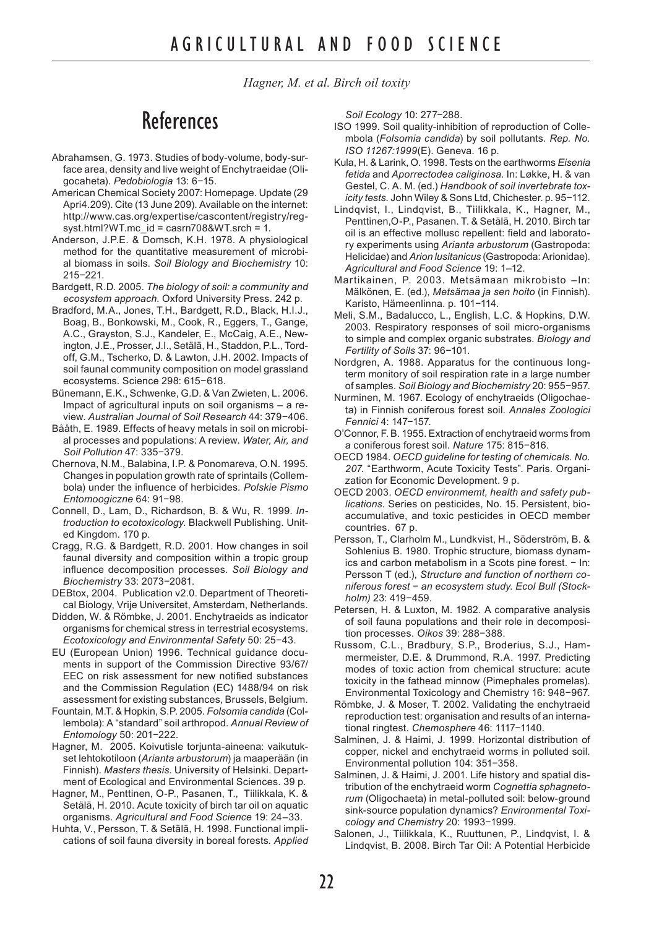## References

- Abrahamsen, G. 1973. Studies of body-volume, body-surface area, density and live weight of Enchytraeidae (Oligocaheta). *Pedobiologia* 13: 6−15.
- American Chemical Society 2007: Homepage. Update (29 Apri4.209). Cite (13 June 209). Available on the internet: http://www.cas.org/expertise/cascontent/registry/regsyst.html?WT.mc\_id = casrn708&WT.srch = 1.
- Anderson, J.P.E. & Domsch, K.H. 1978. A physiological method for the quantitative measurement of microbial biomass in soils. *Soil Biology and Biochemistry* 10: 215−221.
- Bardgett, R.D. 2005. *The biology of soil: a community and ecosystem approach*. Oxford University Press. 242 p.
- Bradford, M.A., Jones, T.H., Bardgett, R.D., Black, H.I.J., Boag, B., Bonkowski, M., Cook, R., Eggers, T., Gange, A.C., Grayston, S.J., Kandeler, E., McCaig, A.E., Newington, J.E., Prosser, J.I., Setälä, H., Staddon, P.L., Tordoff, G.M., Tscherko, D. & Lawton, J.H. 2002. Impacts of soil faunal community composition on model grassland ecosystems. Science 298: 615−618.
- Bűnemann, E.K., Schwenke, G.D. & Van Zwieten, L. 2006. Impact of agricultural inputs on soil organisms – a review. *Australian Journal of Soil Research* 44: 379−406.
- Bååth, E. 1989. Effects of heavy metals in soil on microbial processes and populations: A review. *Water, Air, and Soil Pollution* 47: 335−379.
- Chernova, N.M., Balabina, I.P. & Ponomareva, O.N. 1995. Changes in population growth rate of sprintails (Collembola) under the influence of herbicides*. Polskie Pismo Entomoogiczne* 64: 91−98.
- Connell, D., Lam, D., Richardson, B. & Wu, R. 1999. *Introduction to ecotoxicology*. Blackwell Publishing. United Kingdom. 170 p.
- Cragg, R.G. & Bardgett, R.D. 2001. How changes in soil faunal diversity and composition within a tropic group influence decomposition processes. *Soil Biology and Biochemistry* 33: 2073−2081.
- DEBtox, 2004. Publication v2.0. Department of Theoretical Biology, Vrije Universitet, Amsterdam, Netherlands.
- Didden, W. & Römbke, J. 2001. Enchytraeids as indicator organisms for chemical stress in terrestrial ecosystems. *Ecotoxicology and Environmental Safety* 50: 25−43.
- EU (European Union) 1996. Technical guidance documents in support of the Commission Directive 93/67/ EEC on risk assessment for new notified substances and the Commission Regulation (EC) 1488/94 on risk assessment for existing substances, Brussels, Belgium.
- Fountain, M.T. & Hopkin, S.P. 2005. *Folsomia candida* (Collembola): A "standard" soil arthropod. *Annual Review of Entomology* 50: 201−222.
- Hagner, M. 2005. Koivutisle torjunta-aineena: vaikutukset lehtokotiloon (*Arianta arbustorum*) ja maaperään (in Finnish). *Masters thesis*. University of Helsinki. Department of Ecological and Environmental Sciences. 39 p.
- Hagner, M., Penttinen, O-P., Pasanen, T., Tiilikkala, K. & Setälä, H. 2010. Acute toxicity of birch tar oil on aquatic organisms. *Agricultural and Food Science* 19: 24–33.
- Huhta, V., Persson, T. & Setälä, H. 1998. Functional implications of soil fauna diversity in boreal forests*. Applied*

*Soil Ecology* 10: 277−288.

- ISO 1999. Soil quality-inhibition of reproduction of Collembola (*Folsomia candida*) by soil pollutants*. Rep. No. ISO 11267:1999*(E). Geneva. 16 p.
- Kula, H. & Larink, O. 1998. Tests on the earthworms *Eisenia fetida* and *Aporrectodea caliginosa.* In: Løkke, H. & van Gestel, C. A. M. (ed.) *Handbook of soil invertebrate toxicity tests.* John Wiley & Sons Ltd, Chichester. p. 95−112.
- Lindqvist, I., Lindqvist, B., Tiilikkala, K., Hagner, M., Penttinen,O-P., Pasanen. T. & Setälä, H. 2010. Birch tar oil is an effective mollusc repellent: field and laboratory experiments using *Arianta arbustorum* (Gastropoda: Helicidae) and *Arion lusitanicus* (Gastropoda: Arionidae). *Agricultural and Food Science* 19: 1–12.
- Martikainen, P. 2003. Metsämaan mikrobisto –In: Mälkönen, E. (ed.), *Metsämaa ja sen hoito* (in Finnish). Karisto, Hämeenlinna. p. 101−114.
- Meli, S.M., Badalucco, L., English, L.C. & Hopkins, D.W. 2003. Respiratory responses of soil micro-organisms to simple and complex organic substrates. *Biology and Fertility of Soils* 37: 96−101.
- Nordgren, A. 1988. Apparatus for the continuous longterm monitory of soil respiration rate in a large number of samples. *Soil Biology and Biochemistry* 20: 955−957.
- Nurminen, M. 1967. Ecology of enchytraeids (Oligochaeta) in Finnish coniferous forest soil. *Annales Zoologici Fennici* 4: 147−157.
- O'Connor, F. B. 1955. Extraction of enchytraeid worms from a coniferous forest soil. *Nature* 175: 815−816.
- OECD 1984. *OECD guideline for testing of chemicals. No. 207.* "Earthworm, Acute Toxicity Tests". Paris. Organization for Economic Development. 9 p.
- OECD 2003. *OECD environmemt, health and safety publications.* Series on pesticides, No. 15. Persistent, bioaccumulative, and toxic pesticides in OECD member countries. 67 p.
- Persson, T., Clarholm M., Lundkvist, H., Söderström, B. & Sohlenius B. 1980. Trophic structure, biomass dynamics and carbon metabolism in a Scots pine forest. − In: Persson T (ed.), *Structure and function of northern coniferous forest* − *an ecosystem study*. *Ecol Bull (Stockholm)* 23: 419−459.
- Petersen, H. & Luxton, M. 1982. A comparative analysis of soil fauna populations and their role in decomposition processes. *Oikos* 39: 288−388.
- Russom, C.L., Bradbury, S.P., Broderius, S.J., Hammermeister, D.E. & Drummond, R.A. 1997. Predicting modes of toxic action from chemical structure: acute toxicity in the fathead minnow (Pimephales promelas). Environmental Toxicology and Chemistry 16: 948−967.
- Römbke, J. & Moser, T. 2002. Validating the enchytraeid reproduction test: organisation and results of an international ringtest. *Chemosphere* 46: 1117−1140.
- Salminen, J. & Haimi, J. 1999. Horizontal distribution of copper, nickel and enchytraeid worms in polluted soil. Environmental pollution 104: 351−358.
- Salminen, J. & Haimi, J. 2001. Life history and spatial distribution of the enchytraeid worm *Cognettia sphagnetorum* (Oligochaeta) in metal-polluted soil: below-ground sink-source population dynamics? *Environmental Toxicology and Chemistry* 20: 1993−1999.
- Salonen, J., Tiilikkala, K., Ruuttunen, P., Lindqvist, I. & Lindqvist, B. 2008. Birch Tar Oil: A Potential Herbicide